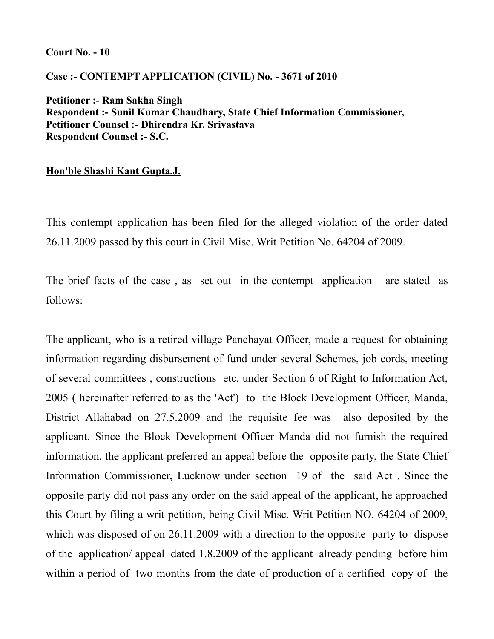#### **Court No. - 10**

# **Case :- CONTEMPT APPLICATION (CIVIL) No. - 3671 of 2010**

**Petitioner :- Ram Sakha Singh Respondent :- Sunil Kumar Chaudhary, State Chief Information Commissioner, Petitioner Counsel :- Dhirendra Kr. Srivastava Respondent Counsel :- S.C.**

# **Hon'ble Shashi Kant Gupta,J.**

This contempt application has been filed for the alleged violation of the order dated 26.11.2009 passed by this court in Civil Misc. Writ Petition No. 64204 of 2009.

The brief facts of the case , as set out in the contempt application are stated as follows:

The applicant, who is a retired village Panchayat Officer, made a request for obtaining information regarding disbursement of fund under several Schemes, job cords, meeting of several committees , constructions etc. under Section 6 of Right to Information Act, 2005 ( hereinafter referred to as the 'Act') to the Block Development Officer, Manda, District Allahabad on 27.5.2009 and the requisite fee was also deposited by the applicant. Since the Block Development Officer Manda did not furnish the required information, the applicant preferred an appeal before the opposite party, the State Chief Information Commissioner, Lucknow under section 19 of the said Act . Since the opposite party did not pass any order on the said appeal of the applicant, he approached this Court by filing a writ petition, being Civil Misc. Writ Petition NO. 64204 of 2009, which was disposed of on 26.11.2009 with a direction to the opposite party to dispose of the application/ appeal dated 1.8.2009 of the applicant already pending before him within a period of two months from the date of production of a certified copy of the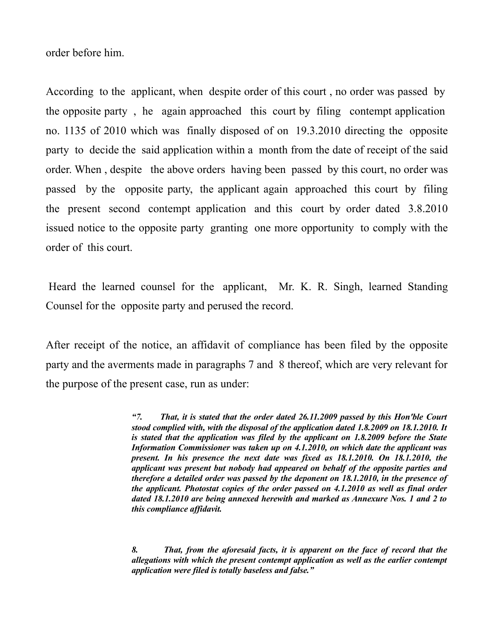order before him.

According to the applicant, when despite order of this court , no order was passed by the opposite party , he again approached this court by filing contempt application no. 1135 of 2010 which was finally disposed of on 19.3.2010 directing the opposite party to decide the said application within a month from the date of receipt of the said order. When , despite the above orders having been passed by this court, no order was passed by the opposite party, the applicant again approached this court by filing the present second contempt application and this court by order dated 3.8.2010 issued notice to the opposite party granting one more opportunity to comply with the order of this court.

Heard the learned counsel for the applicant, Mr. K. R. Singh, learned Standing Counsel for the opposite party and perused the record.

After receipt of the notice, an affidavit of compliance has been filed by the opposite party and the averments made in paragraphs 7 and 8 thereof, which are very relevant for the purpose of the present case, run as under:

> *"7. That, it is stated that the order dated 26.11.2009 passed by this Hon'ble Court stood complied with, with the disposal of the application dated 1.8.2009 on 18.1.2010. It is stated that the application was filed by the applicant on 1.8.2009 before the State Information Commissioner was taken up on 4.1.2010, on which date the applicant was present. In his presence the next date was fixed as 18.1.2010. On 18.1.2010, the applicant was present but nobody had appeared on behalf of the opposite parties and therefore a detailed order was passed by the deponent on 18.1.2010, in the presence of the applicant. Photostat copies of the order passed on 4.1.2010 as well as final order dated 18.1.2010 are being annexed herewith and marked as Annexure Nos. 1 and 2 to this compliance affidavit.*

> *8. That, from the aforesaid facts, it is apparent on the face of record that the allegations with which the present contempt application as well as the earlier contempt application were filed is totally baseless and false."*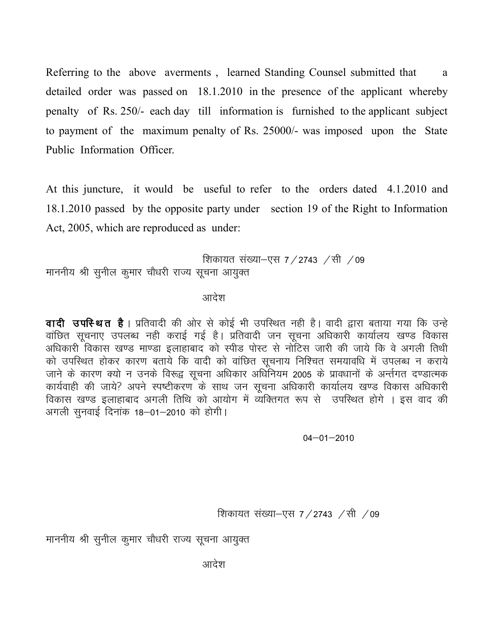Referring to the above averments, learned Standing Counsel submitted that a detailed order was passed on 18.1.2010 in the presence of the applicant whereby penalty of Rs. 250/- each day till information is furnished to the applicant subject to payment of the maximum penalty of Rs. 25000/- was imposed upon the State Public Information Officer.

At this juncture, it would be useful to refer to the orders dated 4.1.2010 and 18.1.2010 passed by the opposite party under section 19 of the Right to Information Act, 2005, which are reproduced as under:

शिकायत संख्या–एस 7 / 2743  $\,$  / सी  $\,$  / 09 माननीय श्री सुनील कुमार चौधरी राज्य सूचना आयुक्त

आदेश

**वादी उपस्थित है**। प्रतिवादी की ओर से कोई भी उपस्थित नही है। वादी द्वारा बताया गया कि उन्हे वांछित सूचनाए उपलब्ध नही कराई गई है। प्रतिवादी जन सूचना अधिकारी कार्यालय खण्ड विकास अधिकारी विकास खण्ड माण्डा इलाहाबाद को स्पीड पोस्ट से नोटिस जारी की जाये कि वे अगली तिथी को उपस्थित होकर कारण बताये कि वादी को वांछित सूचनाय निश्चित समयावधि में उपलब्ध न कराये जाने के कारण क्यो न उनके विरूद्व सूचना अधिकार अधिनियम 2005 के प्रावधानों के अर्न्तगत दण्डात्मक कार्यवाही की जाये? अपने स्पष्टीकरण के साथ जन सूचना अधिकारी कार्यालय खण्ड विकास अधिकारी विकास खण्ड इलाहाबाद अगली तिथि को आयोग में व्यक्तिगत रूप से उपस्थित होगे । इस वाद की अगली सुनवाई दिनांक 18–01–2010 को होगी।

 $04 - 01 - 2010$ 

शिकायत संख्या-एस  $7/2743$  /सी /09

माननीय श्री सुनील कुमार चौधरी राज्य सूचना आयुक्त

आदेश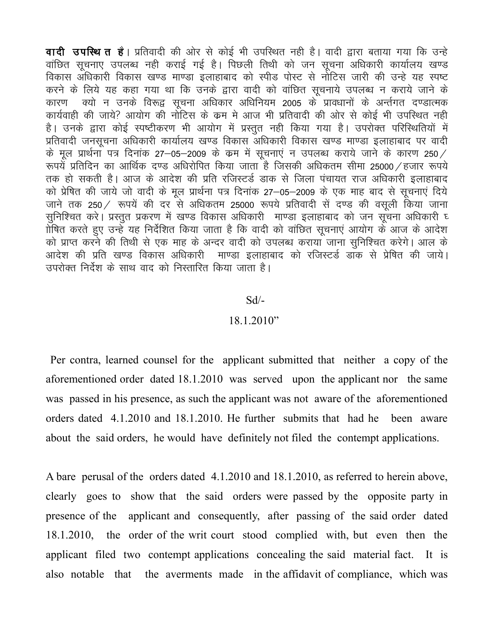वादी उपस्थित है। प्रतिवादी की ओर से कोई भी उपस्थित नही है। वादी द्वारा बताया गया कि उन्हे वांछित सूचनाए उपलब्ध नही कराई गई है। पिछली तिथी को जन सूचना अधिकारी कार्यालय खण्ड विकास अधिकारी विकास खण्ड माण्डा इलाहाबाद को स्पीड पोस्ट से नोटिस जारी की उन्हे यह स्पष्ट करने के लिये यह कहा गया था कि उनके द्वारा वादी को वांछित सूचनाये उपलब्ध न कराये जाने के कारण क्यो न उनके विरूद्व सूचना अधिकार अधिनियम 2005 के प्रावधानों के अर्न्तगत दण्डात्मक कार्यवाही की जाये? आयोग की नोटिस के कम मे आज भी प्रतिवादी की ओर से कोई भी उपस्थित नही है। उनके द्वारा कोई स्पष्टीकरण भी आयोग में प्रस्तुत नही किया गया है। उपरोक्त परिस्थितियों में प्रतिवादी जनसूचना अधिकारी कार्यालय खण्ड विकास अधिकारी विकास खण्ड माण्डा इलाहाबाद पर वादी के मूल प्रार्थना पत्र दिनांक 27–05–2009 के कम में सूचनाएं न उपलब्ध कराये जाने के कारण 250/ रूपयें प्रतिदिन का आर्थिक दण्ड अधिरोपित किया जाता है जिसकी अधिकतम सीमा 25000 ⁄ हजार रूपये तक हो सकती है। आज के आदेश की प्रति रजिस्टर्ड डाक से जिला पंचायत राज अधिकारी इलाहाबाद को प्रेषित की जाये जो वादी के मूल प्रार्थना पत्र दिनांक 27–05–2009 के एक माह बाद से सूचनाएं दिये जाने तक 250 / रूपयें की दर से अधिकतम 25000 रूपये प्रतिवादी सें दण्ड की वसूली किया जाना सूनिश्चित करे। प्रस्तूत प्रकरण में खण्ड विकास अधिकारी माण्डा इलाहाबाद को जन सूचना अधिकारी घ 1ोषित करते हुए उन्हें यह निर्देशित किया जाता है कि वादी को वांछित सूचनाएं आयोग के आज के आदेश को प्राप्त करने की तिथी से एक माह के अन्दर वादी को उपलब्ध कराया जाना सुनिश्चित करेगे। आल के आदेश की प्रति खण्ड विकास अधिकारी माण्डा इलाहाबाद को रजिस्टर्ड डांक से प्रेषित की जाये। उपरोक्त निर्देश के साथ वाद को निस्तारित किया जाता है।

#### $Sd$ /-

### $18.1.2010"$

Per contra, learned counsel for the applicant submitted that neither a copy of the aforementioned order dated 18.1.2010 was served upon the applicant nor the same was passed in his presence, as such the applicant was not aware of the aforementioned orders dated 4.1.2010 and 18.1.2010. He further submits that had he been aware about the said orders, he would have definitely not filed the contempt applications.

A bare perusal of the orders dated 4.1.2010 and 18.1.2010, as referred to herein above, clearly goes to show that the said orders were passed by the opposite party in presence of the applicant and consequently, after passing of the said order dated 18.1.2010, the order of the writ court stood complied with, but even then the applicant filed two contempt applications concealing the said material fact. It is also notable that the averments made in the affidavit of compliance, which was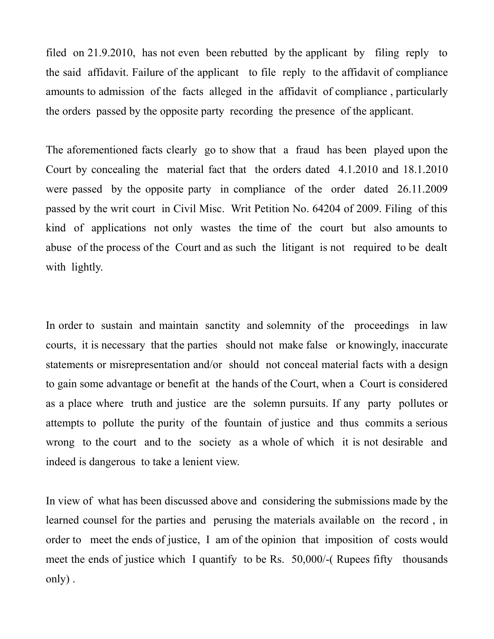filed on 21.9.2010, has not even been rebutted by the applicant by filing reply to the said affidavit. Failure of the applicant to file reply to the affidavit of compliance amounts to admission of the facts alleged in the affidavit of compliance , particularly the orders passed by the opposite party recording the presence of the applicant.

The aforementioned facts clearly go to show that a fraud has been played upon the Court by concealing the material fact that the orders dated 4.1.2010 and 18.1.2010 were passed by the opposite party in compliance of the order dated 26.11.2009 passed by the writ court in Civil Misc. Writ Petition No. 64204 of 2009. Filing of this kind of applications not only wastes the time of the court but also amounts to abuse of the process of the Court and as such the litigant is not required to be dealt with lightly.

In order to sustain and maintain sanctity and solemnity of the proceedings in law courts, it is necessary that the parties should not make false or knowingly, inaccurate statements or misrepresentation and/or should not conceal material facts with a design to gain some advantage or benefit at the hands of the Court, when a Court is considered as a place where truth and justice are the solemn pursuits. If any party pollutes or attempts to pollute the purity of the fountain of justice and thus commits a serious wrong to the court and to the society as a whole of which it is not desirable and indeed is dangerous to take a lenient view.

In view of what has been discussed above and considering the submissions made by the learned counsel for the parties and perusing the materials available on the record , in order to meet the ends of justice, I am of the opinion that imposition of costs would meet the ends of justice which I quantify to be Rs. 50,000/-( Rupees fifty thousands only) .